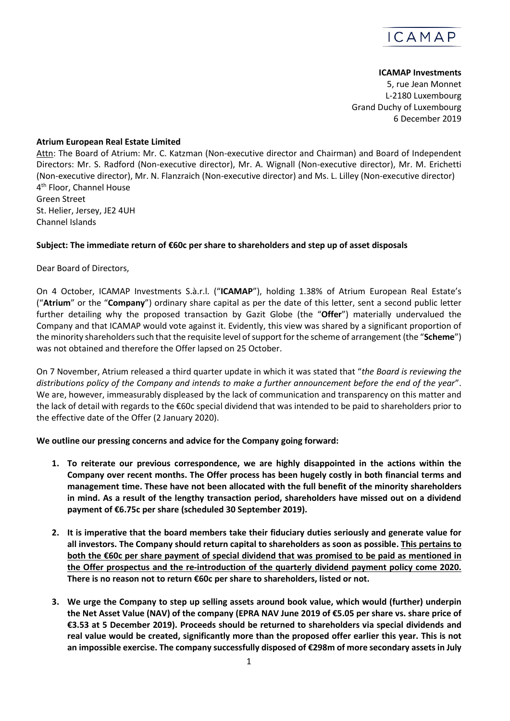

## **ICAMAP Investments**

5, rue Jean Monnet L-2180 Luxembourg Grand Duchy of Luxembourg 6 December 2019

## **Atrium European Real Estate Limited**

Attn: The Board of Atrium: Mr. C. Katzman (Non-executive director and Chairman) and Board of Independent Directors: Mr. S. Radford (Non-executive director), Mr. A. Wignall (Non-executive director), Mr. M. Erichetti (Non-executive director), Mr. N. Flanzraich (Non-executive director) and Ms. L. Lilley (Non-executive director) 4 th Floor, Channel House Green Street St. Helier, Jersey, JE2 4UH Channel Islands

## **Subject: The immediate return of €60c per share to shareholders and step up of asset disposals**

Dear Board of Directors,

On 4 October, ICAMAP Investments S.à.r.l. ("**ICAMAP**"), holding 1.38% of Atrium European Real Estate's ("**Atrium**" or the "**Company**") ordinary share capital as per the date of this letter, sent a second public letter further detailing why the proposed transaction by Gazit Globe (the "**Offer**") materially undervalued the Company and that ICAMAP would vote against it. Evidently, this view was shared by a significant proportion of the minority shareholders such that the requisite level of support for the scheme of arrangement (the "**Scheme**") was not obtained and therefore the Offer lapsed on 25 October.

On 7 November, Atrium released a third quarter update in which it was stated that "*the Board is reviewing the distributions policy of the Company and intends to make a further announcement before the end of the year*". We are, however, immeasurably displeased by the lack of communication and transparency on this matter and the lack of detail with regards to the €60c special dividend that was intended to be paid to shareholders prior to the effective date of the Offer (2 January 2020).

**We outline our pressing concerns and advice for the Company going forward:**

- **1. To reiterate our previous correspondence, we are highly disappointed in the actions within the Company over recent months. The Offer process has been hugely costly in both financial terms and management time. These have not been allocated with the full benefit of the minority shareholders in mind. As a result of the lengthy transaction period, shareholders have missed out on a dividend payment of €6.75c per share (scheduled 30 September 2019).**
- **2. It is imperative that the board members take their fiduciary duties seriously and generate value for all investors. The Company should return capital to shareholders as soon as possible. This pertains to both the €60c per share payment of special dividend that was promised to be paid as mentioned in the Offer prospectus and the re-introduction of the quarterly dividend payment policy come 2020. There is no reason not to return €60c per share to shareholders, listed or not.**
- **3. We urge the Company to step up selling assets around book value, which would (further) underpin the Net Asset Value (NAV) of the company (EPRA NAV June 2019 of €5.05 per share vs. share price of €3.53 at 5 December 2019). Proceeds should be returned to shareholders via special dividends and real value would be created, significantly more than the proposed offer earlier this year. This is not an impossible exercise. The company successfully disposed of €298m of more secondary assets in July**